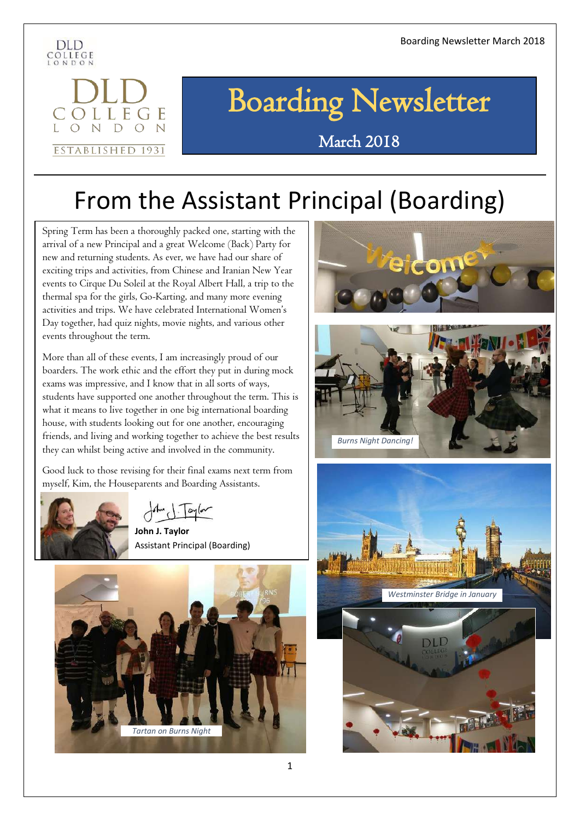

OLLEGE N D O N

ESTABLISHED 1931

# Boarding Newsletter

### March 2018

# From the Assistant Principal (Boarding)

Spring Term has been a thoroughly packed one, starting with the arrival of a new Principal and a great Welcome (Back) Party for new and returning students. As ever, we have had our share of exciting trips and activities, from Chinese and Iranian New Year events to Cirque Du Soleil at the Royal Albert Hall, a trip to the thermal spa for the girls, Go-Karting, and many more evening activities and trips. We have celebrated International Women's Day together, had quiz nights, movie nights, and various other events throughout the term.

More than all of these events, I am increasingly proud of our boarders. The work ethic and the effort they put in during mock exams was impressive, and I know that in all sorts of ways, students have supported one another throughout the term. This is what it means to live together in one big international boarding house, with students looking out for one another, encouraging friends, and living and working together to achieve the best results they can whilst being active and involved in the community.

Good luck to those revising for their final exams next term from myself, Kim, the Houseparents and Boarding Assistants.



 $\int dm \int \frac{1}{2\pi}$  and  $\int$ 

 **John J. Taylor** Assistant Principal (Boarding)







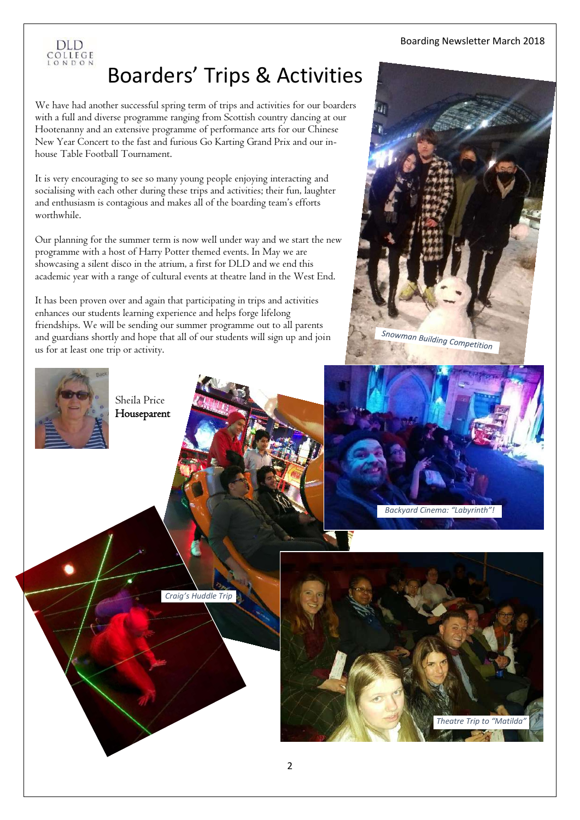

# Boarders' Trips & Activities

We have had another successful spring term of trips and activities for our boarders with a full and diverse programme ranging from Scottish country dancing at our Hootenanny and an extensive programme of performance arts for our Chinese New Year Concert to the fast and furious Go Karting Grand Prix and our inhouse Table Football Tournament.

It is very encouraging to see so many young people enjoying interacting and socialising with each other during these trips and activities; their fun, laughter and enthusiasm is contagious and makes all of the boarding team's efforts worthwhile.

Our planning for the summer term is now well under way and we start the new programme with a host of Harry Potter themed events. In May we are showcasing a silent disco in the atrium, a first for DLD and we end this academic year with a range of cultural events at theatre land in the West End.

It has been proven over and again that participating in trips and activities enhances our students learning experience and helps forge lifelong friendships. We will be sending our summer programme out to all parents and guardians shortly and hope that all of our students will sign up and join us for at least one trip or activity.



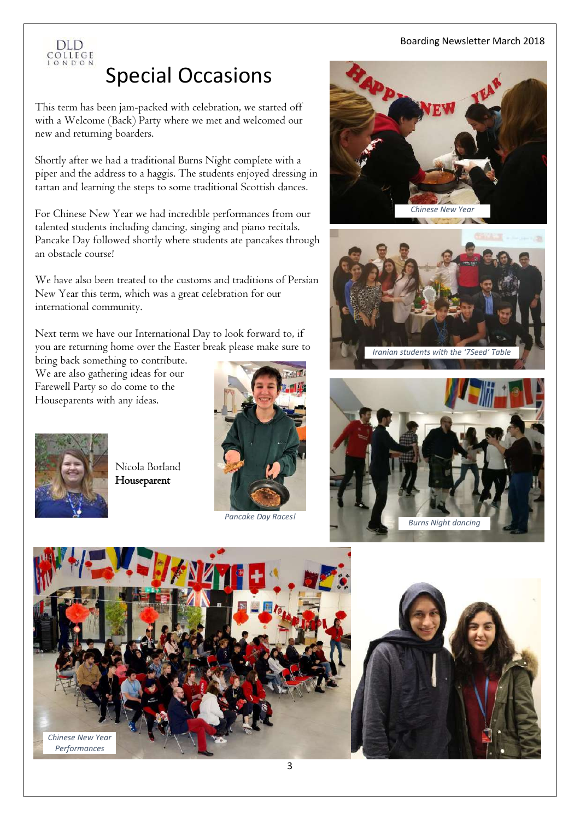

# Special Occasions

This term has been jam-packed with celebration, we started off with a Welcome (Back) Party where we met and welcomed our new and returning boarders.

Shortly after we had a traditional Burns Night complete with a piper and the address to a haggis. The students enjoyed dressing in tartan and learning the steps to some traditional Scottish dances.

For Chinese New Year we had incredible performances from our talented students including dancing, singing and piano recitals. Pancake Day followed shortly where students ate pancakes through an obstacle course!

We have also been treated to the customs and traditions of Persian New Year this term, which was a great celebration for our international community.

Next term we have our International Day to look forward to, if you are returning home over the Easter break please make sure to

bring back something to contribute. We are also gathering ideas for our Farewell Party so do come to the Houseparents with any ideas.



Nicola Borland Houseparent



*Pancake Day Races!*









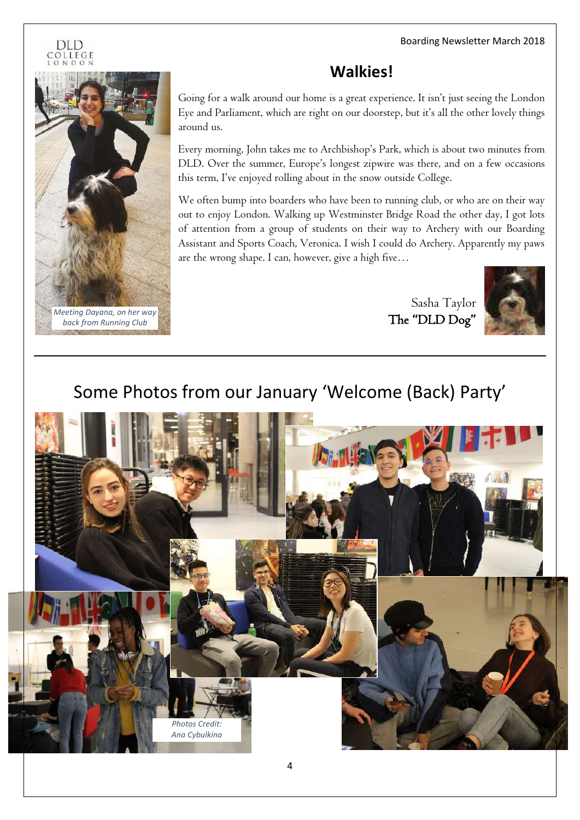#### DLD OLLEGE



### **Walkies!**

Going for a walk around our home is a great experience. It isn't just seeing the London Eye and Parliament, which are right on our doorstep, but it's all the other lovely things around us.

Every morning, John takes me to Archbishop's Park, which is about two minutes from DLD. Over the summer, Europe's longest zipwire was there, and on a few occasions this term, I've enjoyed rolling about in the snow outside College.

We often bump into boarders who have been to running club, or who are on their way out to enjoy London. Walking up Westminster Bridge Road the other day, I got lots of attention from a group of students on their way to Archery with our Boarding Assistant and Sports Coach, Veronica. I wish I could do Archery. Apparently my paws are the wrong shape. I can, however, give a high five…

> Sasha Taylor The "DLD Dog"



## Some Photos from our January 'Welcome (Back) Party'

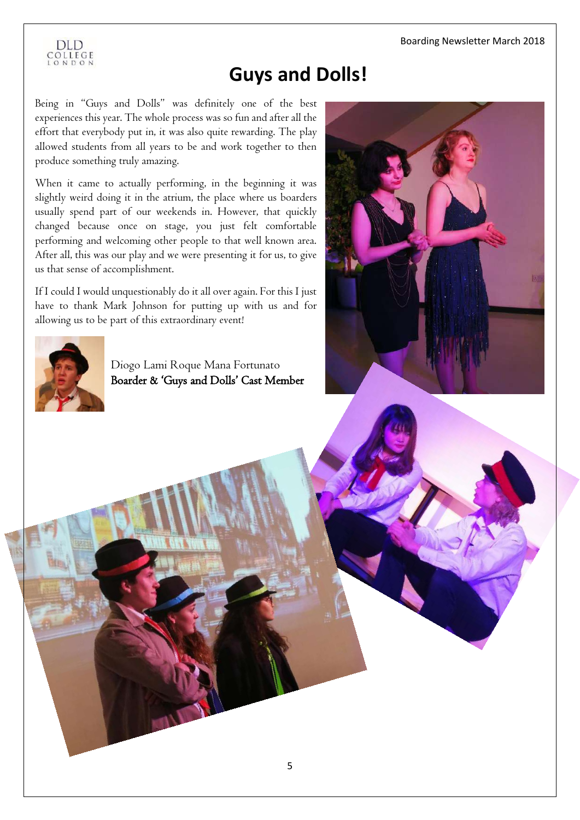

## **Guys and Dolls!**

Being in "Guys and Dolls" was definitely one of the best experiences this year. The whole process was so fun and after all the effort that everybody put in, it was also quite rewarding. The play allowed students from all years to be and work together to then produce something truly amazing.

When it came to actually performing, in the beginning it was slightly weird doing it in the atrium, the place where us boarders usually spend part of our weekends in. However, that quickly changed because once on stage, you just felt comfortable performing and welcoming other people to that well known area. After all, this was our play and we were presenting it for us, to give us that sense of accomplishment.

If I could I would unquestionably do it all over again. For this I just have to thank Mark Johnson for putting up with us and for allowing us to be part of this extraordinary event!



Diogo Lami Roque Mana Fortunato Boarder & 'Guys and Dolls' Cast Member

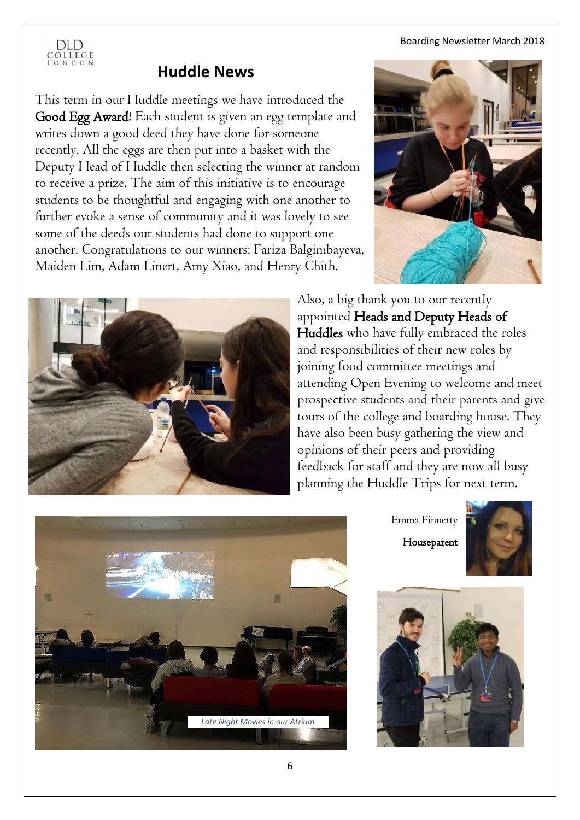

### **Huddle News**

This term in our Huddle meetings we have introduced the Good Egg Award! Each student is given an egg template and writes down a good deed they have done for someone recently. All the eggs are then put into a basket with the Deputy Head of Huddle then selecting the winner at random to receive a prize. The aim of this initiative is to encourage students to be thoughtful and engaging with one another to further evoke a sense of community and it was lovely to see some of the deeds our students had done to support one another. Congratulations to our winners: Fariza Balgimbayeva, Maiden Lim, Adam Linert, Amy Xiao, and Henry Chith.





Also, a big thank you to our recently appointed Heads and Deputy Heads of Huddles who have fully embraced the roles and responsibilities of their new roles by joining food committee meetings and attending Open Evening to welcome and meet prospective students and their parents and give tours of the college and boarding house. They have also been busy gathering the view and opinions of their peers and providing feedback for staff and they are now all busy planning the Huddle Trips for next term.



Emma Finnerty

Houseparent